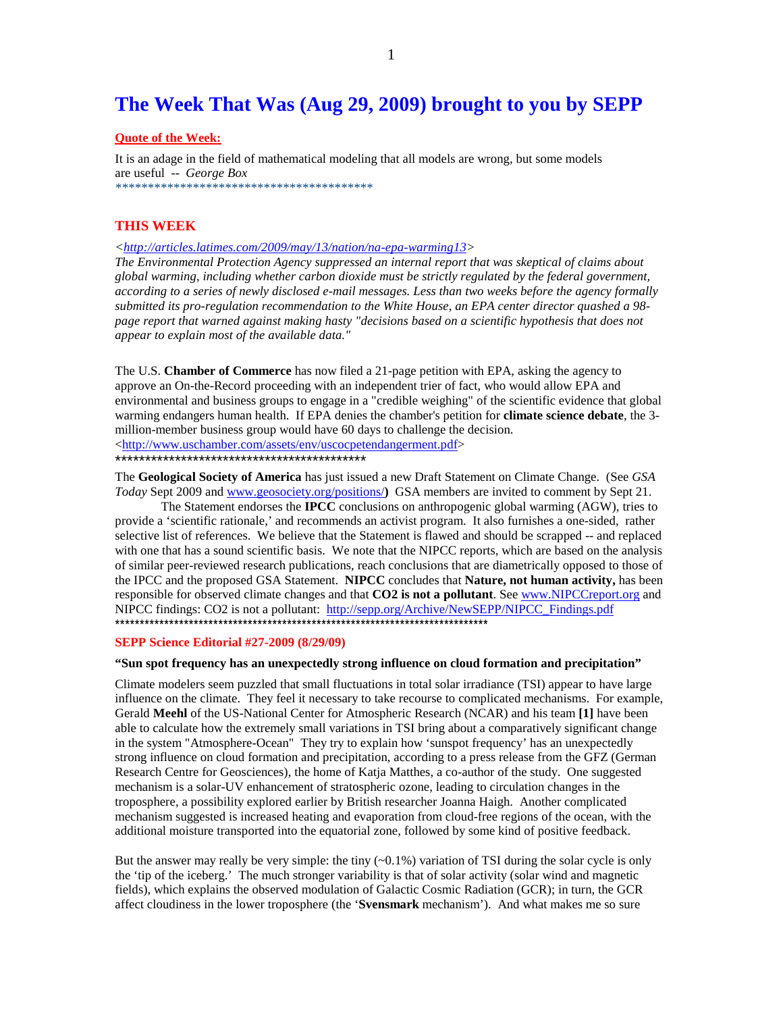# **The Week That Was (Aug 29, 2009) brought to you by SEPP**

#### **Quote of the Week:**

It is an adage in the field of mathematical modeling that all models are wrong, but some models are useful -- *George Box \*\*\*\*\*\*\*\*\*\*\*\*\*\*\*\*\*\*\*\*\*\*\*\*\*\*\*\*\*\*\*\*\*\*\*\*\*\*\*\** 

#### **THIS WEEK**

*<http://articles.latimes.com/2009/may/13/nation/na-epa-warming13>* 

*The Environmental Protection Agency suppressed an internal report that was skeptical of claims about global warming, including whether carbon dioxide must be strictly regulated by the federal government, according to a series of newly disclosed e-mail messages. Less than two weeks before the agency formally submitted its pro-regulation recommendation to the White House, an EPA center director quashed a 98 page report that warned against making hasty "decisions based on a scientific hypothesis that does not appear to explain most of the available data."* 

The U.S. **Chamber of Commerce** has now filed a 21-page petition with EPA, asking the agency to approve an On-the-Record proceeding with an independent trier of fact, who would allow EPA and environmental and business groups to engage in a "credible weighing" of the scientific evidence that global warming endangers human health. If EPA denies the chamber's petition for **climate science debate**, the 3 million-member business group would have 60 days to challenge the decision. <http://www.uschamber.com/assets/env/uscocpetendangerment.pdf> \*\*\*\*\*\*\*\*\*\*\*\*\*\*\*\*\*\*\*\*\*\*\*\*\*\*\*\*\*\*\*\*\*\*\*\*\*\*\*\*\*\*

The **Geological Society of America** has just issued a new Draft Statement on Climate Change. (See *GSA Today* Sept 2009 and www.geosociety.org/positions/**)** GSA members are invited to comment by Sept 21.

The Statement endorses the **IPCC** conclusions on anthropogenic global warming (AGW), tries to provide a 'scientific rationale,' and recommends an activist program. It also furnishes a one-sided, rather selective list of references. We believe that the Statement is flawed and should be scrapped -- and replaced with one that has a sound scientific basis. We note that the NIPCC reports, which are based on the analysis of similar peer-reviewed research publications, reach conclusions that are diametrically opposed to those of the IPCC and the proposed GSA Statement. **NIPCC** concludes that **Nature, not human activity,** has been responsible for observed climate changes and that **CO2 is not a pollutant**. See www.NIPCCreport.org and NIPCC findings: CO2 is not a pollutant: http://sepp.org/Archive/NewSEPP/NIPCC\_Findings.pdf \*\*\*\*\*\*\*\*\*\*\*\*\*\*\*\*\*\*\*\*\*\*\*\*\*\*\*\*\*\*\*\*\*\*\*\*\*\*\*\*\*\*\*\*\*\*\*\*\*\*\*\*\*\*\*\*\*\*\*\*\*\*\*\*\*\*\*\*\*\*\*\*\*\*\*\*

#### **SEPP Science Editorial #27-2009 (8/29/09)**

#### **"Sun spot frequency has an unexpectedly strong influence on cloud formation and precipitation"**

Climate modelers seem puzzled that small fluctuations in total solar irradiance (TSI) appear to have large influence on the climate. They feel it necessary to take recourse to complicated mechanisms. For example, Gerald **Meehl** of the US-National Center for Atmospheric Research (NCAR) and his team **[1]** have been able to calculate how the extremely small variations in TSI bring about a comparatively significant change in the system "Atmosphere-Ocean" They try to explain how 'sunspot frequency' has an unexpectedly strong influence on cloud formation and precipitation, according to a press release from the GFZ (German Research Centre for Geosciences), the home of Katja Matthes, a co-author of the study. One suggested mechanism is a solar-UV enhancement of stratospheric ozone, leading to circulation changes in the troposphere, a possibility explored earlier by British researcher Joanna Haigh. Another complicated mechanism suggested is increased heating and evaporation from cloud-free regions of the ocean, with the additional moisture transported into the equatorial zone, followed by some kind of positive feedback.

But the answer may really be very simple: the tiny  $(\sim 0.1\%)$  variation of TSI during the solar cycle is only the 'tip of the iceberg.' The much stronger variability is that of solar activity (solar wind and magnetic fields), which explains the observed modulation of Galactic Cosmic Radiation (GCR); in turn, the GCR affect cloudiness in the lower troposphere (the '**Svensmark** mechanism'). And what makes me so sure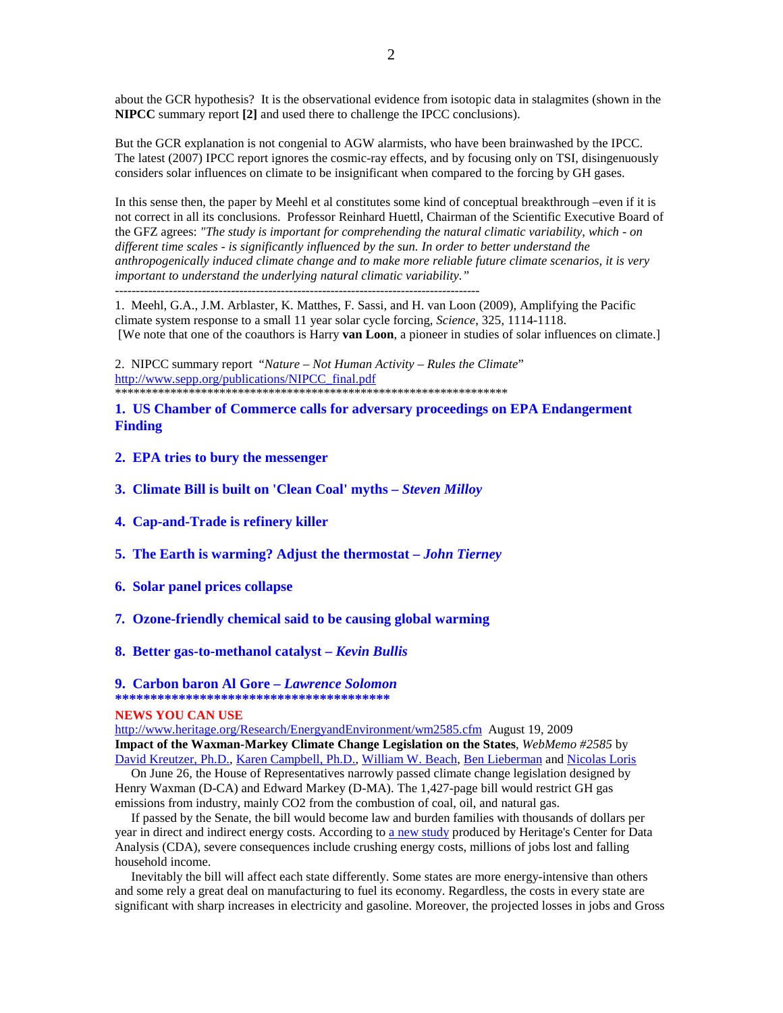about the GCR hypothesis? It is the observational evidence from isotopic data in stalagmites (shown in the **NIPCC** summary report **[2]** and used there to challenge the IPCC conclusions).

But the GCR explanation is not congenial to AGW alarmists, who have been brainwashed by the IPCC. The latest (2007) IPCC report ignores the cosmic-ray effects, and by focusing only on TSI, disingenuously considers solar influences on climate to be insignificant when compared to the forcing by GH gases.

In this sense then, the paper by Meehl et al constitutes some kind of conceptual breakthrough –even if it is not correct in all its conclusions. Professor Reinhard Huettl, Chairman of the Scientific Executive Board of the GFZ agrees: *"The study is important for comprehending the natural climatic variability, which - on different time scales - is significantly influenced by the sun. In order to better understand the anthropogenically induced climate change and to make more reliable future climate scenarios, it is very important to understand the underlying natural climatic variability."* ----------------------------------------------------------------------------------------

1. Meehl, G.A., J.M. Arblaster, K. Matthes, F. Sassi, and H. van Loon (2009), Amplifying the Pacific climate system response to a small 11 year solar cycle forcing, *Science*, 325, 1114-1118. [We note that one of the coauthors is Harry **van Loon**, a pioneer in studies of solar influences on climate.]

2. NIPCC summary report "*Nature – Not Human Activity – Rules the Climate*" http://www.sepp.org/publications/NIPCC\_final.pdf \*\*\*\*\*\*\*\*\*\*\*\*\*\*\*\*\*\*\*\*\*\*\*\*\*\*\*\*\*\*\*\*\*\*\*\*\*\*\*\*\*\*\*\*\*\*\*\*\*\*\*\*\*\*\*\*\*\*\*\*\*\*\*\*

#### **1. US Chamber of Commerce calls for adversary proceedings on EPA Endangerment Finding**

- **2. EPA tries to bury the messenger**
- **3. Climate Bill is built on 'Clean Coal' myths** *Steven Milloy*
- **4. Cap-and-Trade is refinery killer**
- **5. The Earth is warming? Adjust the thermostat** *John Tierney*
- **6. Solar panel prices collapse**
- **7***.* **Ozone-friendly chemical said to be causing global warming**
- **8. Better gas-to-methanol catalyst** *Kevin Bullis*

## **9. Carbon baron Al Gore –** *Lawrence Solomon*

## **\*\*\*\*\*\*\*\*\*\*\*\*\*\*\*\*\*\*\*\*\*\*\*\*\*\*\*\*\*\*\*\*\*\*\*\*\*\*\***

#### **NEWS YOU CAN USE**

http://www.heritage.org/Research/EnergyandEnvironment/wm2585.cfm August 19, 2009 **Impact of the Waxman-Markey Climate Change Legislation on the States**, *WebMemo #2585* by David Kreutzer, Ph.D., Karen Campbell, Ph.D., William W. Beach, Ben Lieberman and Nicolas Loris

On June 26, the House of Representatives narrowly passed climate change legislation designed by Henry Waxman (D-CA) and Edward Markey (D-MA). The 1,427-page bill would restrict GH gas emissions from industry, mainly CO2 from the combustion of coal, oil, and natural gas.

 If passed by the Senate, the bill would become law and burden families with thousands of dollars per year in direct and indirect energy costs. According to a new study produced by Heritage's Center for Data Analysis (CDA), severe consequences include crushing energy costs, millions of jobs lost and falling household income.

 Inevitably the bill will affect each state differently. Some states are more energy-intensive than others and some rely a great deal on manufacturing to fuel its economy. Regardless, the costs in every state are significant with sharp increases in electricity and gasoline. Moreover, the projected losses in jobs and Gross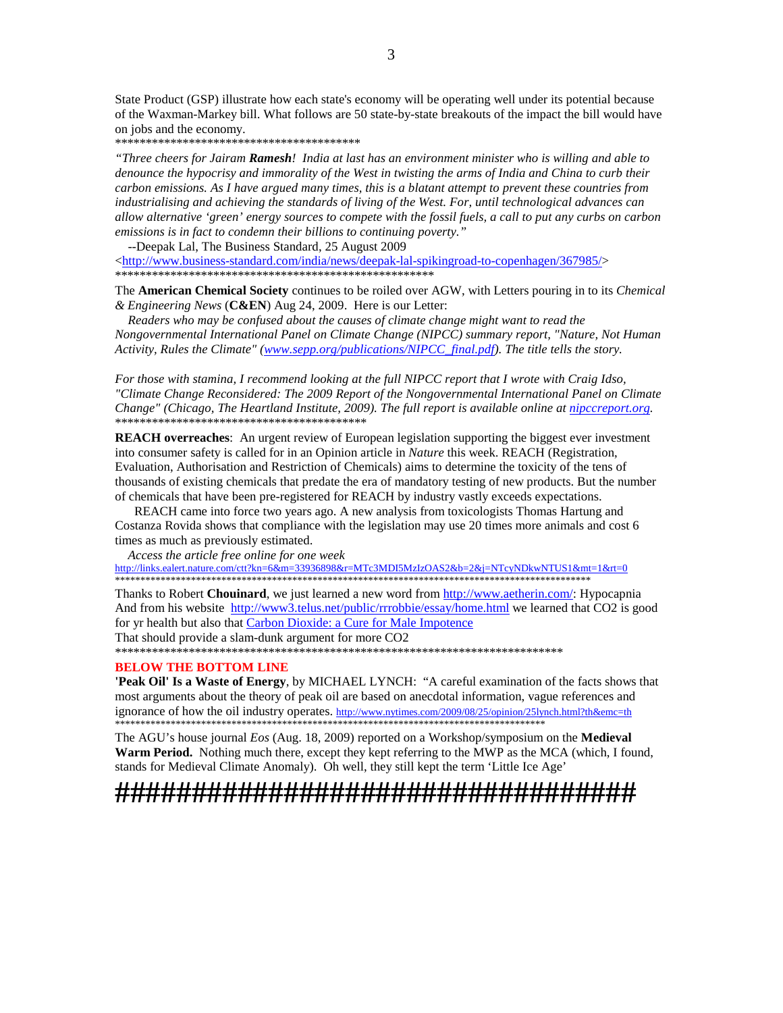State Product (GSP) illustrate how each state's economy will be operating well under its potential because of the Waxman-Markey bill. What follows are 50 state-by-state breakouts of the impact the bill would have on jobs and the economy.

\*\*\*\*\*\*\*\*\*\*\*\*\*\*\*\*\*\*\*\*\*\*\*\*\*\*\*\*\*\*\*\*\*\*\*\*\*\*\*\*

*"Three cheers for Jairam Ramesh! India at last has an environment minister who is willing and able to denounce the hypocrisy and immorality of the West in twisting the arms of India and China to curb their carbon emissions. As I have argued many times, this is a blatant attempt to prevent these countries from industrialising and achieving the standards of living of the West. For, until technological advances can allow alternative 'green' energy sources to compete with the fossil fuels, a call to put any curbs on carbon emissions is in fact to condemn their billions to continuing poverty."* 

 --Deepak Lal, The Business Standard, 25 August 2009  $\langle$ http://www.business-standard.com/india/news/deepak-lal-spikingroad-to-copenhagen/367985/> \*\*\*\*\*\*\*\*\*\*\*\*\*\*\*\*\*\*\*\*\*\*\*\*\*\*\*\*\*\*\*\*\*\*\*\*\*\*\*\*\*\*\*\*\*\*\*\*\*\*\*\*

The **American Chemical Society** continues to be roiled over AGW, with Letters pouring in to its *Chemical & Engineering News* (**C&EN**) Aug 24, 2009. Here is our Letter:

 *Readers who may be confused about the causes of climate change might want to read the Nongovernmental International Panel on Climate Change (NIPCC) summary report, "Nature, Not Human Activity, Rules the Climate" (www.sepp.org/publications/NIPCC\_final.pdf). The title tells the story.* 

*For those with stamina, I recommend looking at the full NIPCC report that I wrote with Craig Idso, "Climate Change Reconsidered: The 2009 Report of the Nongovernmental International Panel on Climate Change" (Chicago, The Heartland Institute, 2009). The full report is available online at nipccreport.org.*  \*\*\*\*\*\*\*\*\*\*\*\*\*\*\*\*\*\*\*\*\*\*\*\*\*\*\*\*\*\*\*\*\*\*\*\*\*\*\*\*\*

**REACH overreaches**: An urgent review of European legislation supporting the biggest ever investment into consumer safety is called for in an Opinion article in *Nature* this week. REACH (Registration, Evaluation, Authorisation and Restriction of Chemicals) aims to determine the toxicity of the tens of thousands of existing chemicals that predate the era of mandatory testing of new products. But the number of chemicals that have been pre-registered for REACH by industry vastly exceeds expectations.

 REACH came into force two years ago. A new analysis from toxicologists Thomas Hartung and Costanza Rovida shows that compliance with the legislation may use 20 times more animals and cost 6 times as much as previously estimated.

*Access the article free online for one week* 

http://links.ealert.nature.com/ctt?kn=6&m=33936898&r=MTc3MDI5MzIzOAS2&b=2&j=NTcyNDkwNTUS1&mt=1&rt=0 \*\*\*\*\*\*\*\*\*\*\*\*\*\*\*\*\*\*\*\*\*\*\*\*\*\*\*\*\*\*\*\*\*\*\*\*\*\*\*\*\*\*\*\*\*\*\*\*\*\*\*\*\*\*\*\*\*\*\*\*\*\*\*\*\*\*\*\*\*\*\*\*\*\*\*\*\*\*\*\*\*\*\*\*\*\*\*\*\*\*\*\*\*\*

Thanks to Robert **Chouinard**, we just learned a new word from http://www.aetherin.com/: Hypocapnia And from his website http://www3.telus.net/public/rrrobbie/essay/home.html we learned that CO2 is good for yr health but also that Carbon Dioxide: a Cure for Male Impotence

That should provide a slam-dunk argument for more CO2

\*\*\*\*\*\*\*\*\*\*\*\*\*\*\*\*\*\*\*\*\*\*\*\*\*\*\*\*\*\*\*\*\*\*\*\*\*\*\*\*\*\*\*\*\*\*\*\*\*\*\*\*\*\*\*\*\*\*\*\*\*\*\*\*\*\*\*\*\*\*\*\*\*

#### **BELOW THE BOTTOM LINE**

**'Peak Oil' Is a Waste of Energy**, by MICHAEL LYNCH: "A careful examination of the facts shows that most arguments about the theory of peak oil are based on anecdotal information, vague references and ignorance of how the oil industry operates. http://www.nytimes.com/2009/08/25/opinion/25lynch.html?th&emc=th \*\*\*\*\*\*\*\*\*\*\*\*\*\*\*\*\*\*\*\*\*\*\*\*\*\*\*\*\*\*\*\*\*\*\*\*\*\*\*\*\*\*\*\*\*\*\*\*\*\*\*\*\*\*\*\*\*\*\*\*\*\*\*\*\*\*\*\*\*\*\*\*\*\*\*\*\*\*\*\*\*\*\*\*\*

The AGU's house journal *Eos* (Aug. 18, 2009) reported on a Workshop/symposium on the **Medieval Warm Period.** Nothing much there, except they kept referring to the MWP as the MCA (which, I found, stands for Medieval Climate Anomaly). Oh well, they still kept the term 'Little Ice Age'

# **##################################**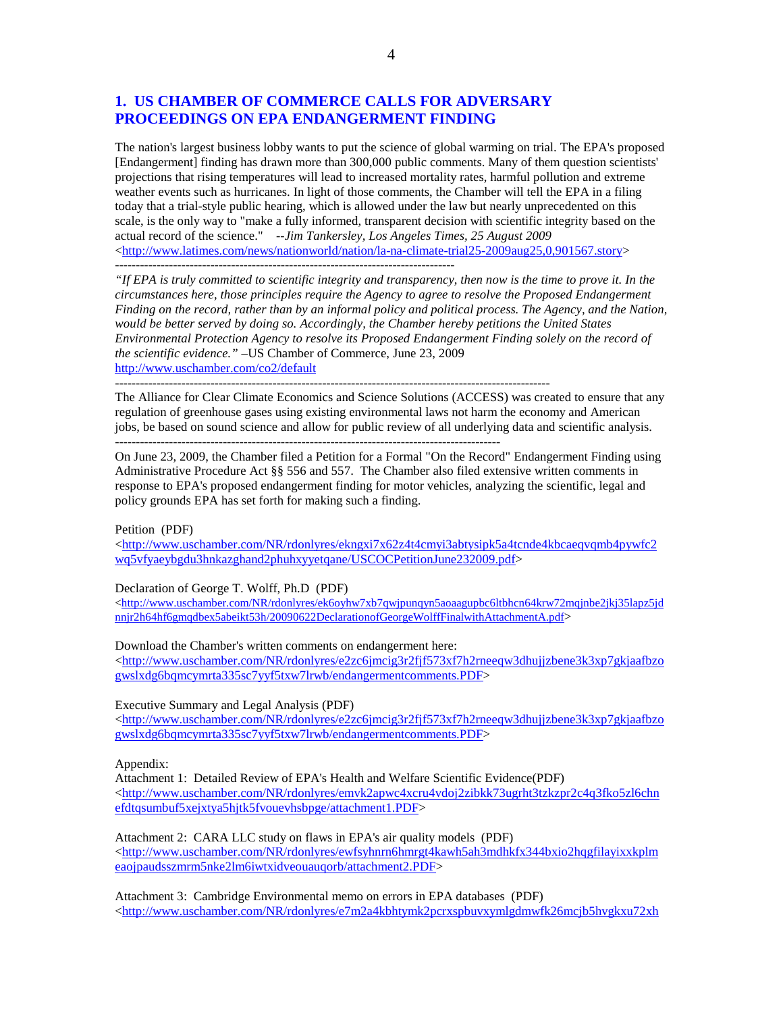## **1. US CHAMBER OF COMMERCE CALLS FOR ADVERSARY PROCEEDINGS ON EPA ENDANGERMENT FINDING**

---------------------------------------------------------------------------------------------------------

The nation's largest business lobby wants to put the science of global warming on trial. The EPA's proposed [Endangerment] finding has drawn more than 300,000 public comments. Many of them question scientists' projections that rising temperatures will lead to increased mortality rates, harmful pollution and extreme weather events such as hurricanes. In light of those comments, the Chamber will tell the EPA in a filing today that a trial-style public hearing, which is allowed under the law but nearly unprecedented on this scale, is the only way to "make a fully informed, transparent decision with scientific integrity based on the actual record of the science." *--Jim Tankersley, Los Angeles Times, 25 August 2009*  $\lt$ http://www.latimes.com/news/nationworld/nation/la-na-climate-trial25-2009aug25,0,901567.story> ----------------------------------------------------------------------------------

*"If EPA is truly committed to scientific integrity and transparency, then now is the time to prove it. In the circumstances here, those principles require the Agency to agree to resolve the Proposed Endangerment Finding on the record, rather than by an informal policy and political process. The Agency, and the Nation, would be better served by doing so. Accordingly, the Chamber hereby petitions the United States Environmental Protection Agency to resolve its Proposed Endangerment Finding solely on the record of the scientific evidence."* –US Chamber of Commerce, June 23, 2009 http://www.uschamber.com/co2/default

The Alliance for Clear Climate Economics and Science Solutions (ACCESS) was created to ensure that any regulation of greenhouse gases using existing environmental laws not harm the economy and American jobs, be based on sound science and allow for public review of all underlying data and scientific analysis. ---------------------------------------------------------------------------------------------

On June 23, 2009, the Chamber filed a Petition for a Formal "On the Record" Endangerment Finding using Administrative Procedure Act §§ 556 and 557. The Chamber also filed extensive written comments in response to EPA's proposed endangerment finding for motor vehicles, analyzing the scientific, legal and policy grounds EPA has set forth for making such a finding.

#### Petition (PDF)

<http://www.uschamber.com/NR/rdonlyres/ekngxi7x62z4t4cmyi3abtysipk5a4tcnde4kbcaeqvqmb4pywfc2 wq5vfyaeybgdu3hnkazghand2phuhxyyetqane/USCOCPetitionJune232009.pdf>

Declaration of George T. Wolff, Ph.D (PDF)

<http://www.uschamber.com/NR/rdonlyres/ek6oyhw7xb7qwjpunqyn5aoaagupbc6ltbhcn64krw72mqjnbe2jkj35lapz5jd nnjr2h64hf6gmqdbex5abeikt53h/20090622DeclarationofGeorgeWolffFinalwithAttachmentA.pdf>

Download the Chamber's written comments on endangerment here:

<http://www.uschamber.com/NR/rdonlyres/e2zc6jmcig3r2fjf573xf7h2rneeqw3dhujjzbene3k3xp7gkjaafbzo gwslxdg6bqmcymrta335sc7yyf5txw7lrwb/endangermentcomments.PDF>

Executive Summary and Legal Analysis (PDF)

<http://www.uschamber.com/NR/rdonlyres/e2zc6jmcig3r2fjf573xf7h2rneeqw3dhujjzbene3k3xp7gkjaafbzo gwslxdg6bqmcymrta335sc7yyf5txw7lrwb/endangermentcomments.PDF>

Appendix:

Attachment 1: Detailed Review of EPA's Health and Welfare Scientific Evidence(PDF) <http://www.uschamber.com/NR/rdonlyres/emvk2apwc4xcru4vdoj2zibkk73ugrht3tzkzpr2c4q3fko5zl6chn efdtqsumbuf5xejxtya5hjtk5fvouevhsbpge/attachment1.PDF>

Attachment 2: CARA LLC study on flaws in EPA's air quality models (PDF)  $\langle$ http://www.uschamber.com/NR/rdonlyres/ewfsyhnrn6hmrgt4kawh5ah3mdhkfx344bxio2hqgfilayixxkplm eaojpaudsszmrm5nke2lm6iwtxidveouauqorb/attachment2.PDF>

Attachment 3: Cambridge Environmental memo on errors in EPA databases (PDF) <http://www.uschamber.com/NR/rdonlyres/e7m2a4kbhtymk2pcrxspbuvxymlgdmwfk26mcjb5hvgkxu72xh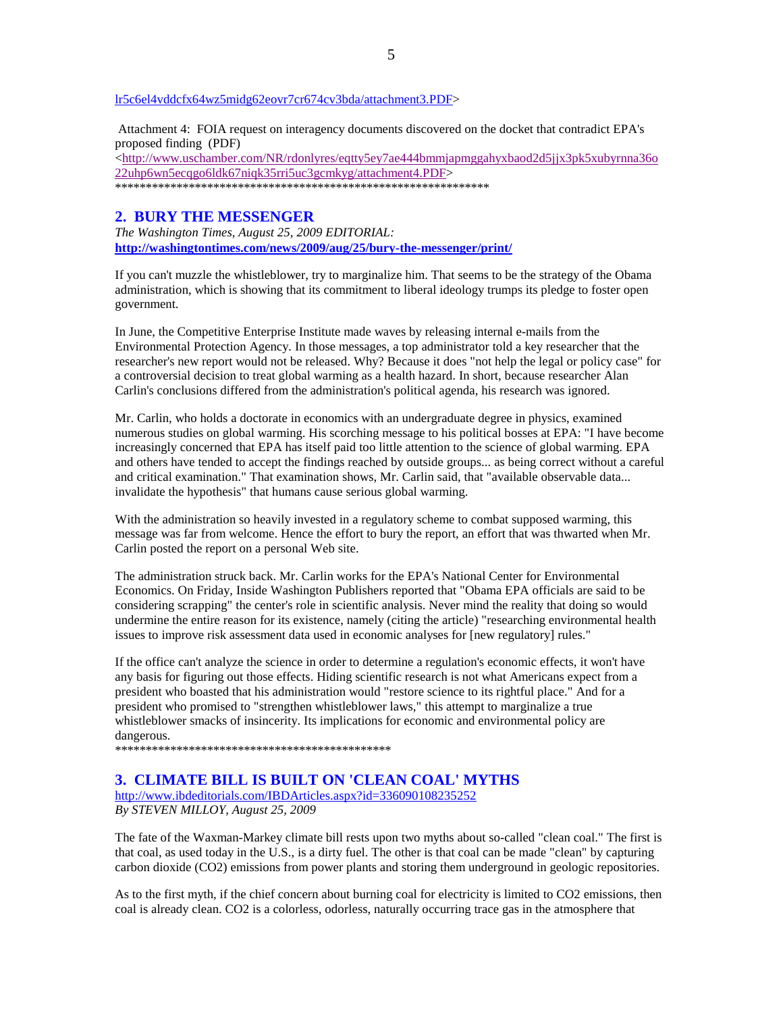#### lr5c6el4vddcfx64wz5midg62eovr7cr674cv3bda/attachment3.PDF>

 Attachment 4: FOIA request on interagency documents discovered on the docket that contradict EPA's proposed finding (PDF)

<http://www.uschamber.com/NR/rdonlyres/eqtty5ey7ae444bmmjapmggahyxbaod2d5jjx3pk5xubyrnna36o 22uhp6wn5ecqgo6ldk67niqk35rri5uc3gcmkyg/attachment4.PDF> \*\*\*\*\*\*\*\*\*\*\*\*\*\*\*\*\*\*\*\*\*\*\*\*\*\*\*\*\*\*\*\*\*\*\*\*\*\*\*\*\*\*\*\*\*\*\*\*\*\*\*\*\*\*\*\*\*\*\*\*\*

#### **2. BURY THE MESSENGER**

*The Washington Times, August 25, 2009 EDITORIAL:* **http://washingtontimes.com/news/2009/aug/25/bury-the-messenger/print/** 

If you can't muzzle the whistleblower, try to marginalize him. That seems to be the strategy of the Obama administration, which is showing that its commitment to liberal ideology trumps its pledge to foster open government.

In June, the Competitive Enterprise Institute made waves by releasing internal e-mails from the Environmental Protection Agency. In those messages, a top administrator told a key researcher that the researcher's new report would not be released. Why? Because it does "not help the legal or policy case" for a controversial decision to treat global warming as a health hazard. In short, because researcher Alan Carlin's conclusions differed from the administration's political agenda, his research was ignored.

Mr. Carlin, who holds a doctorate in economics with an undergraduate degree in physics, examined numerous studies on global warming. His scorching message to his political bosses at EPA: "I have become increasingly concerned that EPA has itself paid too little attention to the science of global warming. EPA and others have tended to accept the findings reached by outside groups... as being correct without a careful and critical examination." That examination shows, Mr. Carlin said, that "available observable data... invalidate the hypothesis" that humans cause serious global warming.

With the administration so heavily invested in a regulatory scheme to combat supposed warming, this message was far from welcome. Hence the effort to bury the report, an effort that was thwarted when Mr. Carlin posted the report on a personal Web site.

The administration struck back. Mr. Carlin works for the EPA's National Center for Environmental Economics. On Friday, Inside Washington Publishers reported that "Obama EPA officials are said to be considering scrapping" the center's role in scientific analysis. Never mind the reality that doing so would undermine the entire reason for its existence, namely (citing the article) "researching environmental health issues to improve risk assessment data used in economic analyses for [new regulatory] rules."

If the office can't analyze the science in order to determine a regulation's economic effects, it won't have any basis for figuring out those effects. Hiding scientific research is not what Americans expect from a president who boasted that his administration would "restore science to its rightful place." And for a president who promised to "strengthen whistleblower laws," this attempt to marginalize a true whistleblower smacks of insincerity. Its implications for economic and environmental policy are dangerous.

\*\*\*\*\*\*\*\*\*\*\*\*\*\*\*\*\*\*\*\*\*\*\*\*\*\*\*\*\*\*\*\*\*\*\*\*\*\*\*\*\*\*\*\*\*

## **3. CLIMATE BILL IS BUILT ON 'CLEAN COAL' MYTHS**

http://www.ibdeditorials.com/IBDArticles.aspx?id=336090108235252 *By STEVEN MILLOY, August 25, 2009* 

The fate of the Waxman-Markey climate bill rests upon two myths about so-called "clean coal." The first is that coal, as used today in the U.S., is a dirty fuel. The other is that coal can be made "clean" by capturing carbon dioxide (CO2) emissions from power plants and storing them underground in geologic repositories.

As to the first myth, if the chief concern about burning coal for electricity is limited to CO2 emissions, then coal is already clean. CO2 is a colorless, odorless, naturally occurring trace gas in the atmosphere that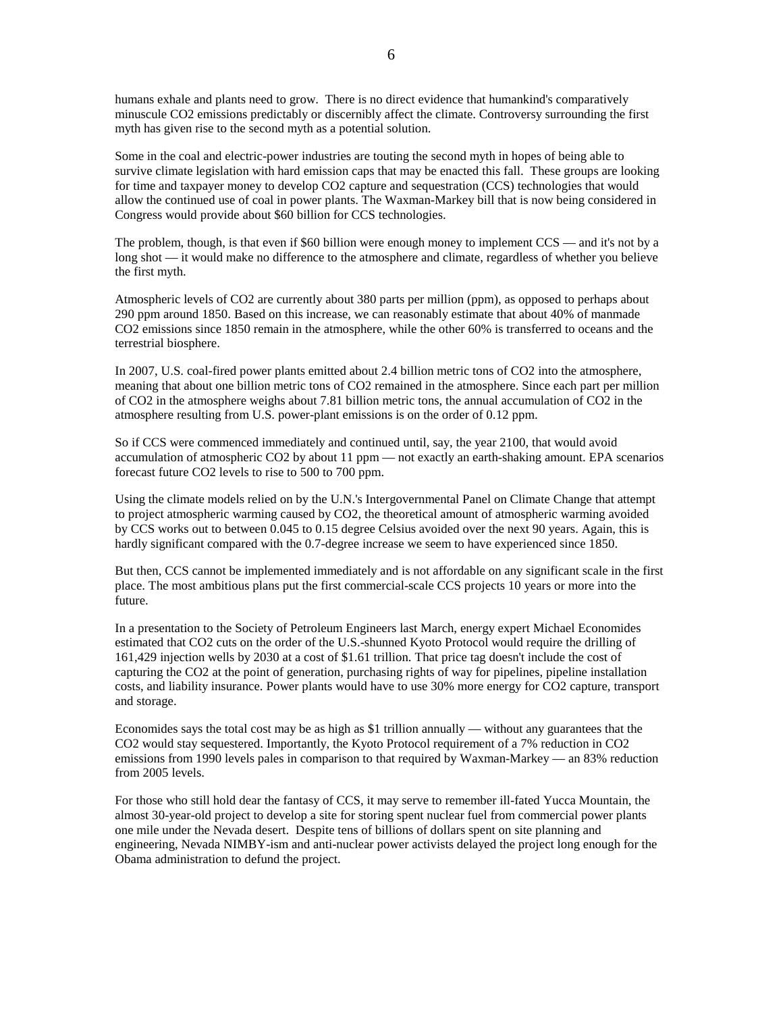humans exhale and plants need to grow. There is no direct evidence that humankind's comparatively minuscule CO2 emissions predictably or discernibly affect the climate. Controversy surrounding the first myth has given rise to the second myth as a potential solution.

Some in the coal and electric-power industries are touting the second myth in hopes of being able to survive climate legislation with hard emission caps that may be enacted this fall. These groups are looking for time and taxpayer money to develop CO2 capture and sequestration (CCS) technologies that would allow the continued use of coal in power plants. The Waxman-Markey bill that is now being considered in Congress would provide about \$60 billion for CCS technologies.

The problem, though, is that even if \$60 billion were enough money to implement CCS — and it's not by a long shot — it would make no difference to the atmosphere and climate, regardless of whether you believe the first myth.

Atmospheric levels of CO2 are currently about 380 parts per million (ppm), as opposed to perhaps about 290 ppm around 1850. Based on this increase, we can reasonably estimate that about 40% of manmade CO2 emissions since 1850 remain in the atmosphere, while the other 60% is transferred to oceans and the terrestrial biosphere.

In 2007, U.S. coal-fired power plants emitted about 2.4 billion metric tons of CO2 into the atmosphere, meaning that about one billion metric tons of CO2 remained in the atmosphere. Since each part per million of CO2 in the atmosphere weighs about 7.81 billion metric tons, the annual accumulation of CO2 in the atmosphere resulting from U.S. power-plant emissions is on the order of 0.12 ppm.

So if CCS were commenced immediately and continued until, say, the year 2100, that would avoid accumulation of atmospheric CO2 by about 11 ppm — not exactly an earth-shaking amount. EPA scenarios forecast future CO2 levels to rise to 500 to 700 ppm.

Using the climate models relied on by the U.N.'s Intergovernmental Panel on Climate Change that attempt to project atmospheric warming caused by CO2, the theoretical amount of atmospheric warming avoided by CCS works out to between 0.045 to 0.15 degree Celsius avoided over the next 90 years. Again, this is hardly significant compared with the 0.7-degree increase we seem to have experienced since 1850.

But then, CCS cannot be implemented immediately and is not affordable on any significant scale in the first place. The most ambitious plans put the first commercial-scale CCS projects 10 years or more into the future.

In a presentation to the Society of Petroleum Engineers last March, energy expert Michael Economides estimated that CO2 cuts on the order of the U.S.-shunned Kyoto Protocol would require the drilling of 161,429 injection wells by 2030 at a cost of \$1.61 trillion. That price tag doesn't include the cost of capturing the CO2 at the point of generation, purchasing rights of way for pipelines, pipeline installation costs, and liability insurance. Power plants would have to use 30% more energy for CO2 capture, transport and storage.

Economides says the total cost may be as high as \$1 trillion annually — without any guarantees that the CO2 would stay sequestered. Importantly, the Kyoto Protocol requirement of a 7% reduction in CO2 emissions from 1990 levels pales in comparison to that required by Waxman-Markey — an 83% reduction from 2005 levels.

For those who still hold dear the fantasy of CCS, it may serve to remember ill-fated Yucca Mountain, the almost 30-year-old project to develop a site for storing spent nuclear fuel from commercial power plants one mile under the Nevada desert. Despite tens of billions of dollars spent on site planning and engineering, Nevada NIMBY-ism and anti-nuclear power activists delayed the project long enough for the Obama administration to defund the project.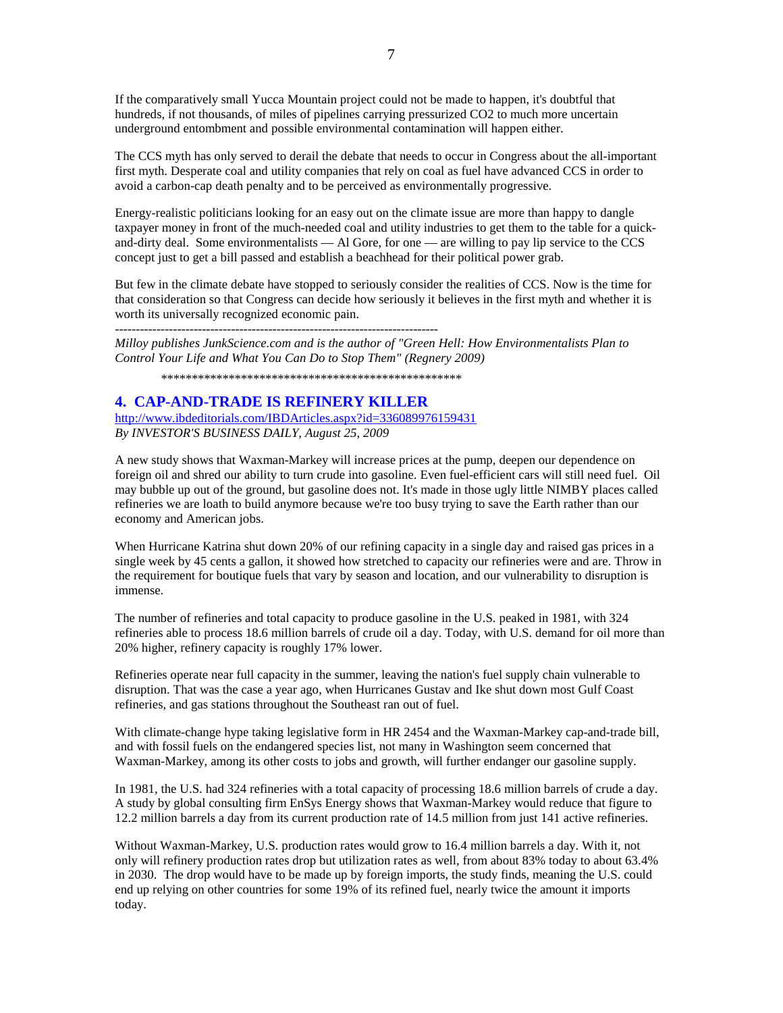If the comparatively small Yucca Mountain project could not be made to happen, it's doubtful that hundreds, if not thousands, of miles of pipelines carrying pressurized CO2 to much more uncertain underground entombment and possible environmental contamination will happen either.

The CCS myth has only served to derail the debate that needs to occur in Congress about the all-important first myth. Desperate coal and utility companies that rely on coal as fuel have advanced CCS in order to avoid a carbon-cap death penalty and to be perceived as environmentally progressive.

Energy-realistic politicians looking for an easy out on the climate issue are more than happy to dangle taxpayer money in front of the much-needed coal and utility industries to get them to the table for a quickand-dirty deal. Some environmentalists  $-$  Al Gore, for one  $-$  are willing to pay lip service to the CCS concept just to get a bill passed and establish a beachhead for their political power grab.

But few in the climate debate have stopped to seriously consider the realities of CCS. Now is the time for that consideration so that Congress can decide how seriously it believes in the first myth and whether it is worth its universally recognized economic pain.

------------------------------------------------------------------------------

*Milloy publishes JunkScience.com and is the author of "Green Hell: How Environmentalists Plan to Control Your Life and What You Can Do to Stop Them" (Regnery 2009)* 

\*\*\*\*\*\*\*\*\*\*\*\*\*\*\*\*\*\*\*\*\*\*\*\*\*\*\*\*\*\*\*\*\*\*\*\*\*\*\*\*\*\*\*\*\*\*\*\*\*

## **4. CAP-AND-TRADE IS REFINERY KILLER**

http://www.ibdeditorials.com/IBDArticles.aspx?id=336089976159431

*By INVESTOR'S BUSINESS DAILY, August 25, 2009*

A new study shows that Waxman-Markey will increase prices at the pump, deepen our dependence on foreign oil and shred our ability to turn crude into gasoline. Even fuel-efficient cars will still need fuel. Oil may bubble up out of the ground, but gasoline does not. It's made in those ugly little NIMBY places called refineries we are loath to build anymore because we're too busy trying to save the Earth rather than our economy and American jobs.

When Hurricane Katrina shut down 20% of our refining capacity in a single day and raised gas prices in a single week by 45 cents a gallon, it showed how stretched to capacity our refineries were and are. Throw in the requirement for boutique fuels that vary by season and location, and our vulnerability to disruption is immense.

The number of refineries and total capacity to produce gasoline in the U.S. peaked in 1981, with 324 refineries able to process 18.6 million barrels of crude oil a day. Today, with U.S. demand for oil more than 20% higher, refinery capacity is roughly 17% lower.

Refineries operate near full capacity in the summer, leaving the nation's fuel supply chain vulnerable to disruption. That was the case a year ago, when Hurricanes Gustav and Ike shut down most Gulf Coast refineries, and gas stations throughout the Southeast ran out of fuel.

With climate-change hype taking legislative form in HR 2454 and the Waxman-Markey cap-and-trade bill, and with fossil fuels on the endangered species list, not many in Washington seem concerned that Waxman-Markey, among its other costs to jobs and growth, will further endanger our gasoline supply.

In 1981, the U.S. had 324 refineries with a total capacity of processing 18.6 million barrels of crude a day. A study by global consulting firm EnSys Energy shows that Waxman-Markey would reduce that figure to 12.2 million barrels a day from its current production rate of 14.5 million from just 141 active refineries.

Without Waxman-Markey, U.S. production rates would grow to 16.4 million barrels a day. With it, not only will refinery production rates drop but utilization rates as well, from about 83% today to about 63.4% in 2030. The drop would have to be made up by foreign imports, the study finds, meaning the U.S. could end up relying on other countries for some 19% of its refined fuel, nearly twice the amount it imports today.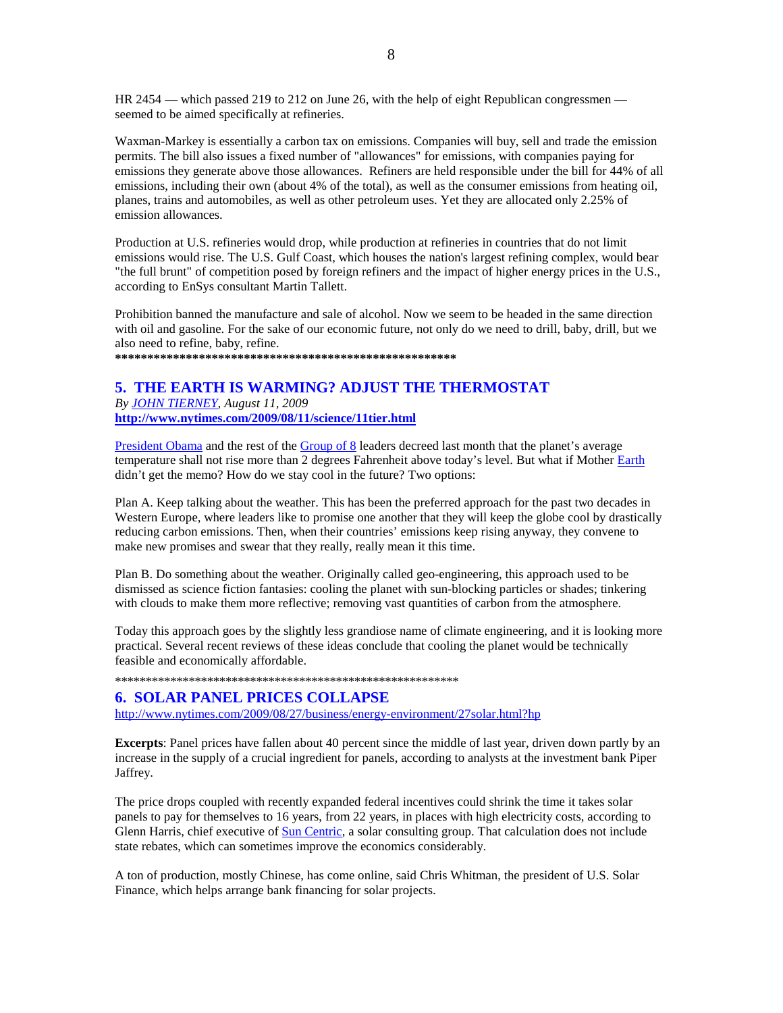HR 2454 — which passed 219 to 212 on June 26, with the help of eight Republican congressmen seemed to be aimed specifically at refineries.

Waxman-Markey is essentially a carbon tax on emissions. Companies will buy, sell and trade the emission permits. The bill also issues a fixed number of "allowances" for emissions, with companies paying for emissions they generate above those allowances. Refiners are held responsible under the bill for 44% of all emissions, including their own (about 4% of the total), as well as the consumer emissions from heating oil, planes, trains and automobiles, as well as other petroleum uses. Yet they are allocated only 2.25% of emission allowances.

Production at U.S. refineries would drop, while production at refineries in countries that do not limit emissions would rise. The U.S. Gulf Coast, which houses the nation's largest refining complex, would bear "the full brunt" of competition posed by foreign refiners and the impact of higher energy prices in the U.S., according to EnSys consultant Martin Tallett.

Prohibition banned the manufacture and sale of alcohol. Now we seem to be headed in the same direction with oil and gasoline. For the sake of our economic future, not only do we need to drill, baby, drill, but we also need to refine, baby, refine.

**\*\*\*\*\*\*\*\*\*\*\*\*\*\*\*\*\*\*\*\*\*\*\*\*\*\*\*\*\*\*\*\*\*\*\*\*\*\*\*\*\*\*\*\*\*\*\*\*\*\*\*\*\*** 

## **5. THE EARTH IS WARMING? ADJUST THE THERMOSTAT**

*By JOHN TIERNEY, August 11, 2009*  **http://www.nytimes.com/2009/08/11/science/11tier.html**

President Obama and the rest of the Group of 8 leaders decreed last month that the planet's average temperature shall not rise more than 2 degrees Fahrenheit above today's level. But what if Mother Earth didn't get the memo? How do we stay cool in the future? Two options:

Plan A. Keep talking about the weather. This has been the preferred approach for the past two decades in Western Europe, where leaders like to promise one another that they will keep the globe cool by drastically reducing carbon emissions. Then, when their countries' emissions keep rising anyway, they convene to make new promises and swear that they really, really mean it this time.

Plan B. Do something about the weather. Originally called geo-engineering, this approach used to be dismissed as science fiction fantasies: cooling the planet with sun-blocking particles or shades; tinkering with clouds to make them more reflective; removing vast quantities of carbon from the atmosphere.

Today this approach goes by the slightly less grandiose name of climate engineering, and it is looking more practical. Several recent reviews of these ideas conclude that cooling the planet would be technically feasible and economically affordable.

#### \*\*\*\*\*\*\*\*\*\*\*\*\*\*\*\*\*\*\*\*\*\*\*\*\*\*\*\*\*\*\*\*\*\*\*\*\*\*\*\*\*\*\*\*\*\*\*\*\*\*\*\*\*\*\*\*

#### **6. SOLAR PANEL PRICES COLLAPSE**

http://www.nytimes.com/2009/08/27/business/energy-environment/27solar.html?hp

**Excerpts**: Panel prices have fallen about 40 percent since the middle of last year, driven down partly by an increase in the supply of a crucial ingredient for panels, according to analysts at the investment bank Piper Jaffrey.

The price drops coupled with recently expanded federal incentives could shrink the time it takes solar panels to pay for themselves to 16 years, from 22 years, in places with high electricity costs, according to Glenn Harris, chief executive of Sun Centric, a solar consulting group. That calculation does not include state rebates, which can sometimes improve the economics considerably.

A ton of production, mostly Chinese, has come online, said Chris Whitman, the president of U.S. Solar Finance, which helps arrange bank financing for solar projects.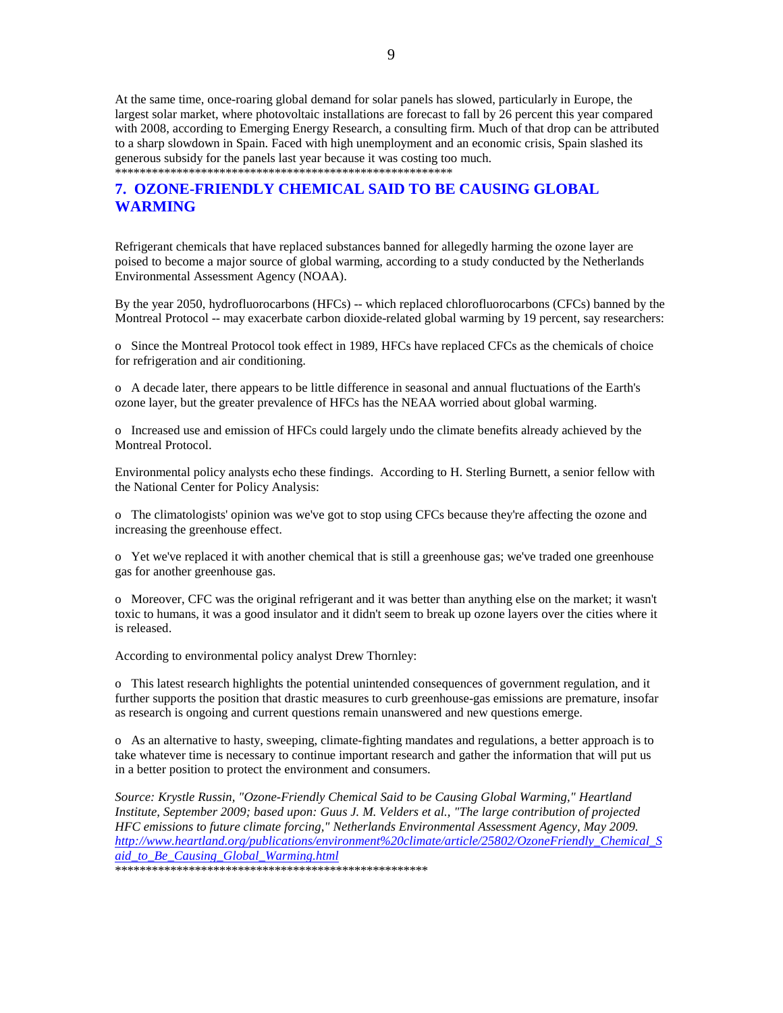At the same time, once-roaring global demand for solar panels has slowed, particularly in Europe, the largest solar market, where photovoltaic installations are forecast to fall by 26 percent this year compared with 2008, according to Emerging Energy Research, a consulting firm. Much of that drop can be attributed to a sharp slowdown in Spain. Faced with high unemployment and an economic crisis, Spain slashed its generous subsidy for the panels last year because it was costing too much. \*\*\*\*\*\*\*\*\*\*\*\*\*\*\*\*\*\*\*\*\*\*\*\*\*\*\*\*\*\*\*\*\*\*\*\*\*\*\*\*\*\*\*\*\*\*\*\*\*\*\*\*\*\*\*

## **7. OZONE-FRIENDLY CHEMICAL SAID TO BE CAUSING GLOBAL WARMING**

Refrigerant chemicals that have replaced substances banned for allegedly harming the ozone layer are poised to become a major source of global warming, according to a study conducted by the Netherlands Environmental Assessment Agency (NOAA).

By the year 2050, hydrofluorocarbons (HFCs) -- which replaced chlorofluorocarbons (CFCs) banned by the Montreal Protocol -- may exacerbate carbon dioxide-related global warming by 19 percent, say researchers:

o Since the Montreal Protocol took effect in 1989, HFCs have replaced CFCs as the chemicals of choice for refrigeration and air conditioning.

o A decade later, there appears to be little difference in seasonal and annual fluctuations of the Earth's ozone layer, but the greater prevalence of HFCs has the NEAA worried about global warming.

o Increased use and emission of HFCs could largely undo the climate benefits already achieved by the Montreal Protocol.

Environmental policy analysts echo these findings. According to H. Sterling Burnett, a senior fellow with the National Center for Policy Analysis:

o The climatologists' opinion was we've got to stop using CFCs because they're affecting the ozone and increasing the greenhouse effect.

o Yet we've replaced it with another chemical that is still a greenhouse gas; we've traded one greenhouse gas for another greenhouse gas.

o Moreover, CFC was the original refrigerant and it was better than anything else on the market; it wasn't toxic to humans, it was a good insulator and it didn't seem to break up ozone layers over the cities where it is released.

According to environmental policy analyst Drew Thornley:

o This latest research highlights the potential unintended consequences of government regulation, and it further supports the position that drastic measures to curb greenhouse-gas emissions are premature, insofar as research is ongoing and current questions remain unanswered and new questions emerge.

o As an alternative to hasty, sweeping, climate-fighting mandates and regulations, a better approach is to take whatever time is necessary to continue important research and gather the information that will put us in a better position to protect the environment and consumers.

*Source: Krystle Russin, "Ozone-Friendly Chemical Said to be Causing Global Warming," Heartland Institute, September 2009; based upon: Guus J. M. Velders et al., "The large contribution of projected HFC emissions to future climate forcing," Netherlands Environmental Assessment Agency, May 2009. http://www.heartland.org/publications/environment%20climate/article/25802/OzoneFriendly\_Chemical\_S aid\_to\_Be\_Causing\_Global\_Warming.html* 

\*\*\*\*\*\*\*\*\*\*\*\*\*\*\*\*\*\*\*\*\*\*\*\*\*\*\*\*\*\*\*\*\*\*\*\*\*\*\*\*\*\*\*\*\*\*\*\*\*\*\*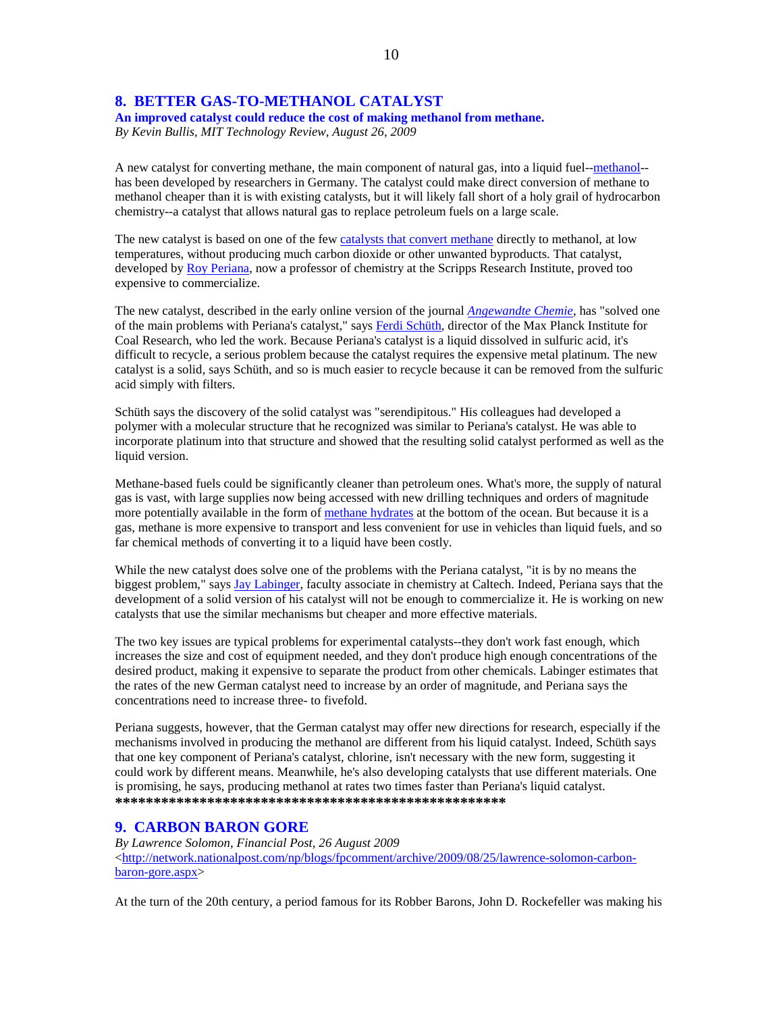## **8. BETTER GAS-TO-METHANOL CATALYST**

**An improved catalyst could reduce the cost of making methanol from methane.**  *By Kevin Bullis, MIT Technology Review, August 26, 2009* 

A new catalyst for converting methane, the main component of natural gas, into a liquid fuel--methanol- has been developed by researchers in Germany. The catalyst could make direct conversion of methane to methanol cheaper than it is with existing catalysts, but it will likely fall short of a holy grail of hydrocarbon chemistry--a catalyst that allows natural gas to replace petroleum fuels on a large scale.

The new catalyst is based on one of the few catalysts that convert methane directly to methanol, at low temperatures, without producing much carbon dioxide or other unwanted byproducts. That catalyst, developed by Roy Periana, now a professor of chemistry at the Scripps Research Institute, proved too expensive to commercialize.

The new catalyst, described in the early online version of the journal *Angewandte Chemie*, has "solved one of the main problems with Periana's catalyst," says Ferdi Schüth, director of the Max Planck Institute for Coal Research, who led the work. Because Periana's catalyst is a liquid dissolved in sulfuric acid, it's difficult to recycle, a serious problem because the catalyst requires the expensive metal platinum. The new catalyst is a solid, says Schüth, and so is much easier to recycle because it can be removed from the sulfuric acid simply with filters.

Schüth says the discovery of the solid catalyst was "serendipitous." His colleagues had developed a polymer with a molecular structure that he recognized was similar to Periana's catalyst. He was able to incorporate platinum into that structure and showed that the resulting solid catalyst performed as well as the liquid version.

Methane-based fuels could be significantly cleaner than petroleum ones. What's more, the supply of natural gas is vast, with large supplies now being accessed with new drilling techniques and orders of magnitude more potentially available in the form of methane hydrates at the bottom of the ocean. But because it is a gas, methane is more expensive to transport and less convenient for use in vehicles than liquid fuels, and so far chemical methods of converting it to a liquid have been costly.

While the new catalyst does solve one of the problems with the Periana catalyst, "it is by no means the biggest problem," says Jay Labinger, faculty associate in chemistry at Caltech. Indeed, Periana says that the development of a solid version of his catalyst will not be enough to commercialize it. He is working on new catalysts that use the similar mechanisms but cheaper and more effective materials.

The two key issues are typical problems for experimental catalysts--they don't work fast enough, which increases the size and cost of equipment needed, and they don't produce high enough concentrations of the desired product, making it expensive to separate the product from other chemicals. Labinger estimates that the rates of the new German catalyst need to increase by an order of magnitude, and Periana says the concentrations need to increase three- to fivefold.

Periana suggests, however, that the German catalyst may offer new directions for research, especially if the mechanisms involved in producing the methanol are different from his liquid catalyst. Indeed, Schüth says that one key component of Periana's catalyst, chlorine, isn't necessary with the new form, suggesting it could work by different means. Meanwhile, he's also developing catalysts that use different materials. One is promising, he says, producing methanol at rates two times faster than Periana's liquid catalyst. **\*\*\*\*\*\*\*\*\*\*\*\*\*\*\*\*\*\*\*\*\*\*\*\*\*\*\*\*\*\*\*\*\*\*\*\*\*\*\*\*\*\*\*\*\*\*\*\*\*\*\***

### **9. CARBON BARON GORE**

*By Lawrence Solomon, Financial Post, 26 August 2009*  $\langle$ http://network.nationalpost.com/np/blogs/fpcomment/archive/2009/08/25/lawrence-solomon-carbonbaron-gore.aspx>

At the turn of the 20th century, a period famous for its Robber Barons, John D. Rockefeller was making his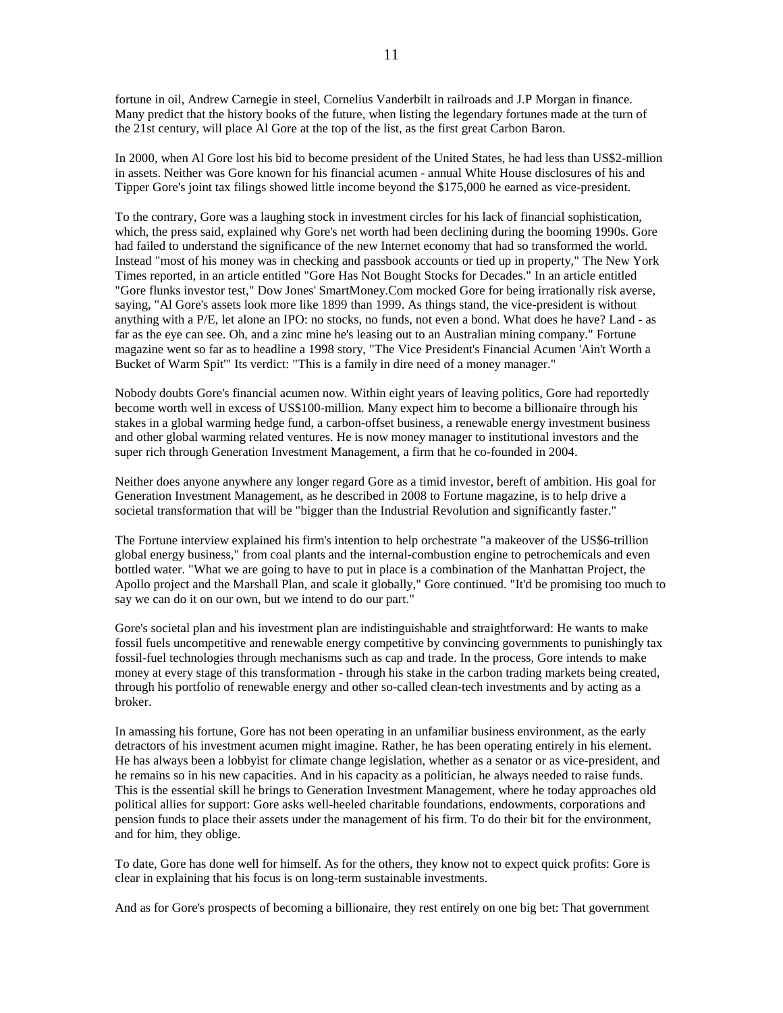fortune in oil, Andrew Carnegie in steel, Cornelius Vanderbilt in railroads and J.P Morgan in finance. Many predict that the history books of the future, when listing the legendary fortunes made at the turn of the 21st century, will place Al Gore at the top of the list, as the first great Carbon Baron.

In 2000, when Al Gore lost his bid to become president of the United States, he had less than US\$2-million in assets. Neither was Gore known for his financial acumen - annual White House disclosures of his and Tipper Gore's joint tax filings showed little income beyond the \$175,000 he earned as vice-president.

To the contrary, Gore was a laughing stock in investment circles for his lack of financial sophistication, which, the press said, explained why Gore's net worth had been declining during the booming 1990s. Gore had failed to understand the significance of the new Internet economy that had so transformed the world. Instead "most of his money was in checking and passbook accounts or tied up in property," The New York Times reported, in an article entitled "Gore Has Not Bought Stocks for Decades." In an article entitled "Gore flunks investor test," Dow Jones' SmartMoney.Com mocked Gore for being irrationally risk averse, saying, "Al Gore's assets look more like 1899 than 1999. As things stand, the vice-president is without anything with a P/E, let alone an IPO: no stocks, no funds, not even a bond. What does he have? Land - as far as the eye can see. Oh, and a zinc mine he's leasing out to an Australian mining company." Fortune magazine went so far as to headline a 1998 story, "The Vice President's Financial Acumen 'Ain't Worth a Bucket of Warm Spit'" Its verdict: "This is a family in dire need of a money manager."

Nobody doubts Gore's financial acumen now. Within eight years of leaving politics, Gore had reportedly become worth well in excess of US\$100-million. Many expect him to become a billionaire through his stakes in a global warming hedge fund, a carbon-offset business, a renewable energy investment business and other global warming related ventures. He is now money manager to institutional investors and the super rich through Generation Investment Management, a firm that he co-founded in 2004.

Neither does anyone anywhere any longer regard Gore as a timid investor, bereft of ambition. His goal for Generation Investment Management, as he described in 2008 to Fortune magazine, is to help drive a societal transformation that will be "bigger than the Industrial Revolution and significantly faster."

The Fortune interview explained his firm's intention to help orchestrate "a makeover of the US\$6-trillion global energy business," from coal plants and the internal-combustion engine to petrochemicals and even bottled water. "What we are going to have to put in place is a combination of the Manhattan Project, the Apollo project and the Marshall Plan, and scale it globally," Gore continued. "It'd be promising too much to say we can do it on our own, but we intend to do our part."

Gore's societal plan and his investment plan are indistinguishable and straightforward: He wants to make fossil fuels uncompetitive and renewable energy competitive by convincing governments to punishingly tax fossil-fuel technologies through mechanisms such as cap and trade. In the process, Gore intends to make money at every stage of this transformation - through his stake in the carbon trading markets being created, through his portfolio of renewable energy and other so-called clean-tech investments and by acting as a broker.

In amassing his fortune, Gore has not been operating in an unfamiliar business environment, as the early detractors of his investment acumen might imagine. Rather, he has been operating entirely in his element. He has always been a lobbyist for climate change legislation, whether as a senator or as vice-president, and he remains so in his new capacities. And in his capacity as a politician, he always needed to raise funds. This is the essential skill he brings to Generation Investment Management, where he today approaches old political allies for support: Gore asks well-heeled charitable foundations, endowments, corporations and pension funds to place their assets under the management of his firm. To do their bit for the environment, and for him, they oblige.

To date, Gore has done well for himself. As for the others, they know not to expect quick profits: Gore is clear in explaining that his focus is on long-term sustainable investments.

And as for Gore's prospects of becoming a billionaire, they rest entirely on one big bet: That government